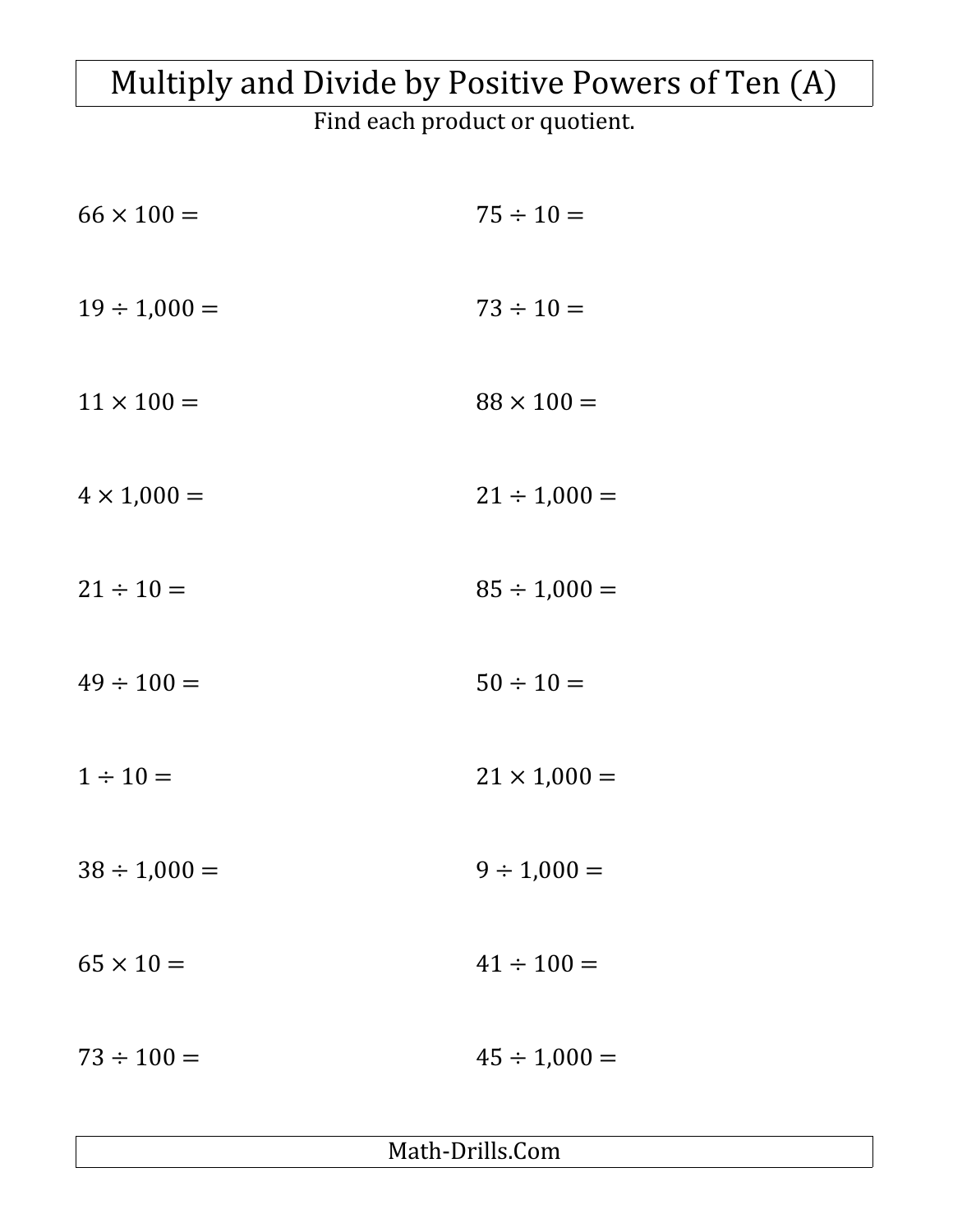## Multiply and Divide by Positive Powers of Ten (A)

Find each product or quotient.

| $66 \times 100 =$  | $75 \div 10 =$      |
|--------------------|---------------------|
| $19 \div 1,000 =$  | $73 \div 10 =$      |
| $11 \times 100 =$  | $88 \times 100 =$   |
| $4 \times 1,000 =$ | $21 \div 1,000 =$   |
| $21 \div 10 =$     | $85 \div 1,000 =$   |
| $49 \div 100 =$    | $50 \div 10 =$      |
| $1 \div 10 =$      | $21 \times 1,000 =$ |
| $38 \div 1,000 =$  | $9 \div 1,000 =$    |
| $65 \times 10 =$   | $41 \div 100 =$     |
| $73 \div 100 =$    | $45 \div 1,000 =$   |